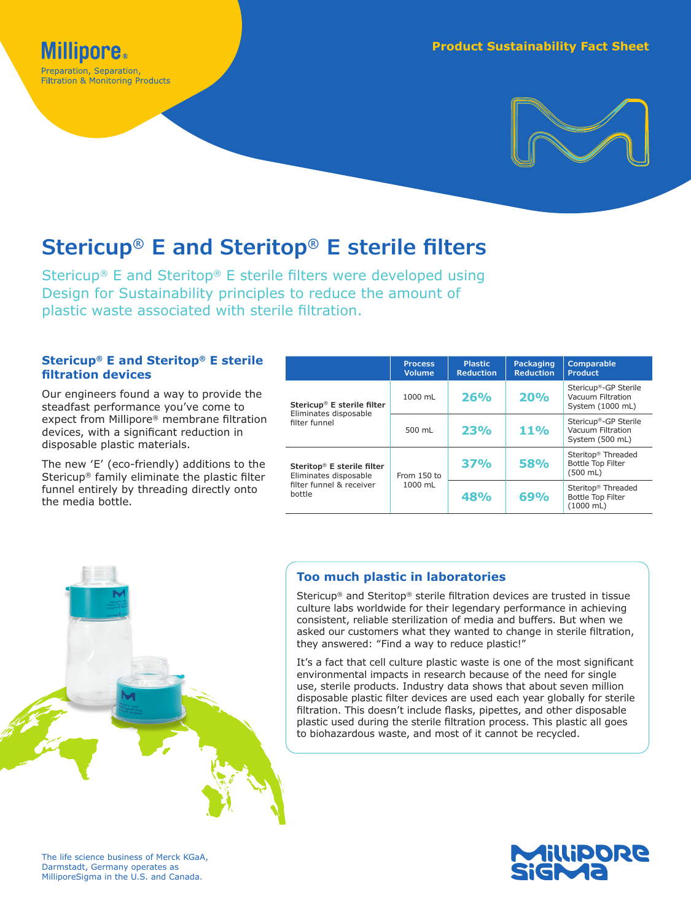Preparation, Separation, **Filtration & Monitoring Products** 



# **Stericup® E and Steritop® E sterile filters**

Stericup® E and Steritop® E sterile filters were developed using Design for Sustainability principles to reduce the amount of plastic waste associated with sterile filtration.

# **Stericup® E and Steritop® E sterile filtration devices**

Our engineers found a way to provide the steadfast performance you've come to expect from Millipore® membrane filtration devices, with a significant reduction in disposable plastic materials.

The new 'E' (eco-friendly) additions to the Stericup® family eliminate the plastic filter funnel entirely by threading directly onto the media bottle.

|                                                                                                       | <b>Process</b><br><b>Volume</b> | <b>Plastic</b><br><b>Reduction</b> | Packaging<br><b>Reduction</b> | <b>Comparable</b><br><b>Product</b>                                        |
|-------------------------------------------------------------------------------------------------------|---------------------------------|------------------------------------|-------------------------------|----------------------------------------------------------------------------|
| Stericup <sup>®</sup> E sterile filter<br>Eliminates disposable<br>filter funnel                      | 1000 mL                         | 26%                                | 20%                           | Stericup <sup>®</sup> -GP Sterile<br>Vacuum Filtration<br>System (1000 mL) |
|                                                                                                       | 500 mL                          | <b>23%</b>                         | <b>11%</b>                    | Stericup®-GP Sterile<br>Vacuum Filtration<br>System (500 mL)               |
| Steritop <sup>®</sup> E sterile filter<br>Eliminates disposable<br>filter funnel & receiver<br>bottle | From $150$ to<br>1000 mL        | 37%                                | <b>58%</b>                    | Steritop <sup>®</sup> Threaded<br><b>Bottle Top Filter</b><br>$(500$ mL)   |
|                                                                                                       |                                 | 48%                                | 69%                           | Steritop <sup>®</sup> Threaded<br><b>Bottle Top Filter</b><br>$(1000$ mL)  |



# **Too much plastic in laboratories**

Stericup® and Steritop® sterile filtration devices are trusted in tissue culture labs worldwide for their legendary performance in achieving consistent, reliable sterilization of media and buffers. But when we asked our customers what they wanted to change in sterile filtration, they answered: "Find a way to reduce plastic!"

It's a fact that cell culture plastic waste is one of the most significant environmental impacts in research because of the need for single use, sterile products. Industry data shows that about seven million disposable plastic filter devices are used each year globally for sterile filtration. This doesn't include flasks, pipettes, and other disposable plastic used during the sterile filtration process. This plastic all goes to biohazardous waste, and most of it cannot be recycled.

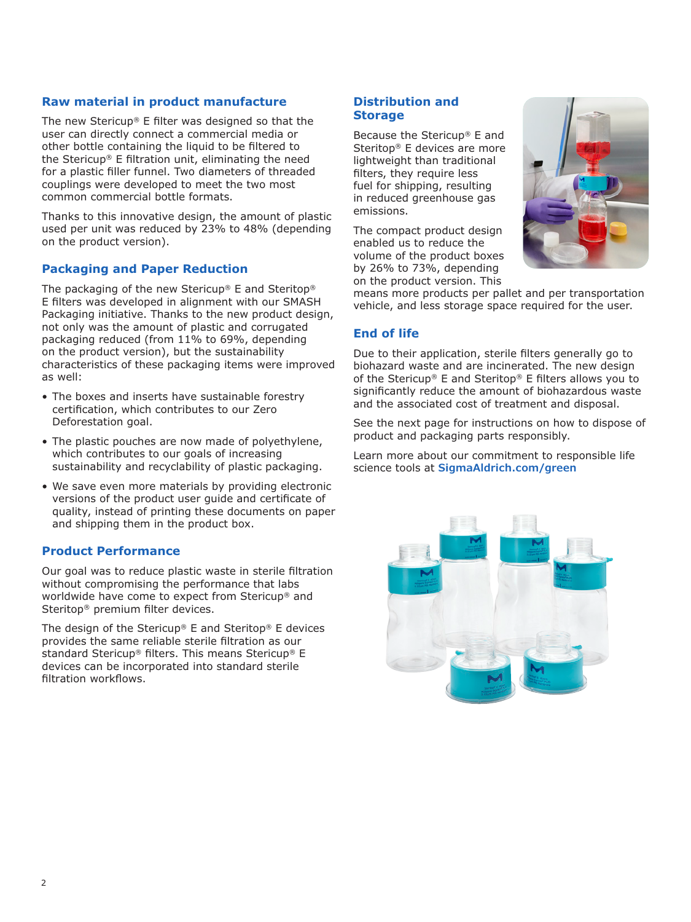#### **Raw material in product manufacture**

The new Stericup® E filter was designed so that the user can directly connect a commercial media or other bottle containing the liquid to be filtered to the Stericup® E filtration unit, eliminating the need for a plastic filler funnel. Two diameters of threaded couplings were developed to meet the two most common commercial bottle formats.

Thanks to this innovative design, the amount of plastic used per unit was reduced by 23% to 48% (depending on the product version).

# **Packaging and Paper Reduction**

The packaging of the new Stericup® E and Steritop® E filters was developed in alignment with our SMASH Packaging initiative. Thanks to the new product design, not only was the amount of plastic and corrugated packaging reduced (from 11% to 69%, depending on the product version), but the sustainability characteristics of these packaging items were improved as well:

- The boxes and inserts have sustainable forestry certification, which contributes to our Zero Deforestation goal.
- The plastic pouches are now made of polyethylene, which contributes to our goals of increasing sustainability and recyclability of plastic packaging.
- We save even more materials by providing electronic versions of the product user guide and certificate of quality, instead of printing these documents on paper and shipping them in the product box.

#### **Product Performance**

Our goal was to reduce plastic waste in sterile filtration without compromising the performance that labs worldwide have come to expect from Stericup® and Steritop® premium filter devices.

The design of the Stericup® E and Steritop® E devices provides the same reliable sterile filtration as our standard Stericup® filters. This means Stericup® E devices can be incorporated into standard sterile filtration workflows.

#### **Distribution and Storage**

Because the Stericup® E and Steritop® E devices are more lightweight than traditional filters, they require less fuel for shipping, resulting in reduced greenhouse gas emissions.

The compact product design enabled us to reduce the volume of the product boxes by 26% to 73%, depending on the product version. This



means more products per pallet and per transportation vehicle, and less storage space required for the user.

## **End of life**

Due to their application, sterile filters generally go to biohazard waste and are incinerated. The new design of the Stericup® E and Steritop® E filters allows you to significantly reduce the amount of biohazardous waste and the associated cost of treatment and disposal.

See the next page for instructions on how to dispose of product and packaging parts responsibly.

Learn more about our commitment to responsible life science tools at **[SigmaAldrich.com/green](http://www.SigmaAldrich.com/green)**

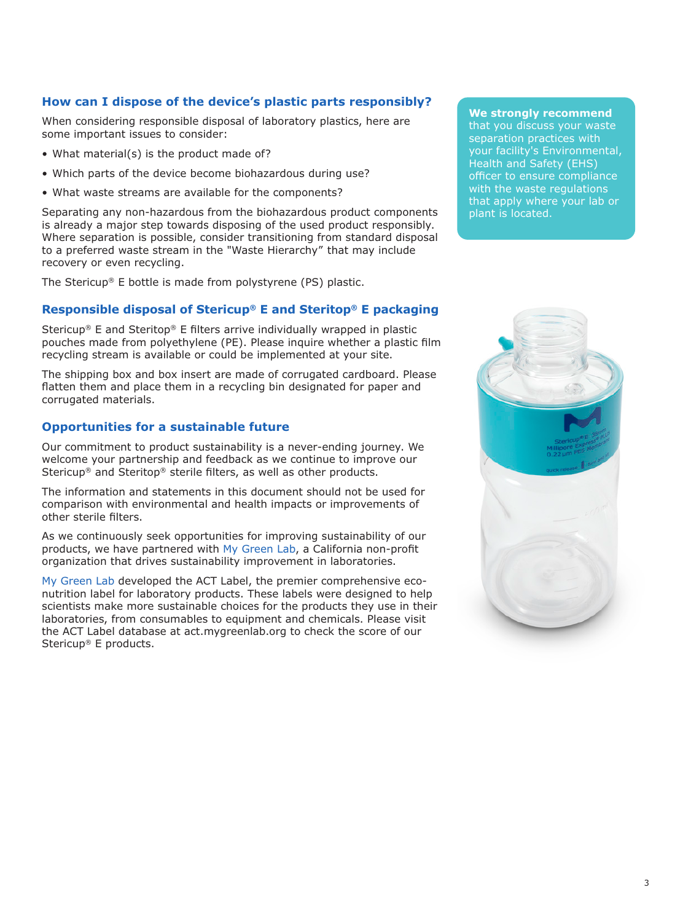# **How can I dispose of the device's plastic parts responsibly?**

When considering responsible disposal of laboratory plastics, here are some important issues to consider:

- What material(s) is the product made of?
- Which parts of the device become biohazardous during use?
- What waste streams are available for the components?

Separating any non-hazardous from the biohazardous product components is already a major step towards disposing of the used product responsibly. Where separation is possible, consider transitioning from standard disposal to a preferred waste stream in the "Waste Hierarchy" that may include recovery or even recycling.

The Stericup® E bottle is made from polystyrene (PS) plastic.

# **Responsible disposal of Stericup® E and Steritop® E packaging**

Stericup® E and Steritop® E filters arrive individually wrapped in plastic pouches made from polyethylene (PE). Please inquire whether a plastic film recycling stream is available or could be implemented at your site.

The shipping box and box insert are made of corrugated cardboard. Please flatten them and place them in a recycling bin designated for paper and corrugated materials.

#### **Opportunities for a sustainable future**

Our commitment to product sustainability is a never-ending journey. We welcome your partnership and feedback as we continue to improve our Stericup® and Steritop® sterile filters, as well as other products.

The information and statements in this document should not be used for comparison with environmental and health impacts or improvements of other sterile filters.

As we continuously seek opportunities for improving sustainability of our products, we have partnered with [My Green Lab,](https://www.mygreenlab.org/) a California non-profit organization that drives sustainability improvement in laboratories.

[My Green Lab](https://www.mygreenlab.org/) developed the ACT Label, the premier comprehensive econutrition label for laboratory products. These labels were designed to help scientists make more sustainable choices for the products they use in their laboratories, from consumables to equipment and chemicals. Please visit the ACT Label database at act.mygreenlab.org to check the score of our Stericup® E products.

**We strongly recommend**

that you discuss your waste separation practices with your facility's Environmental, Health and Safety (EHS) officer to ensure compliance with the waste regulations that apply where your lab or plant is located.